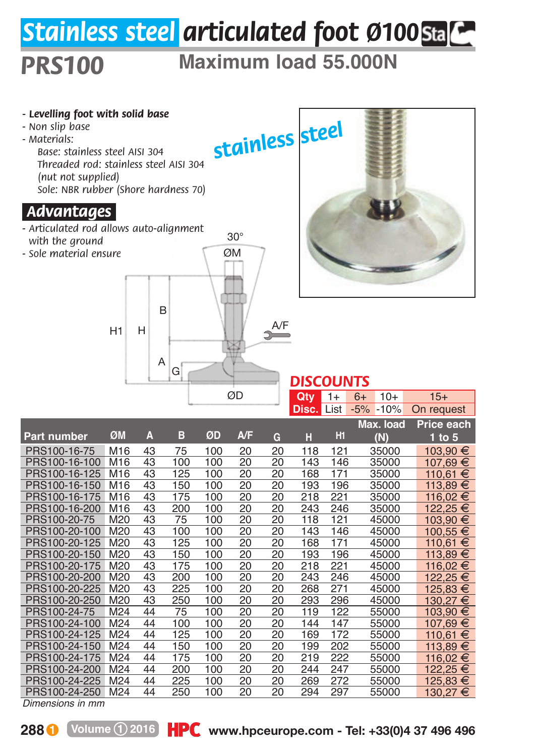## *Stainless steel articulated foot Ø100*

## *PRS100* **Maximum load 55.000N**



*Dimensions in mm*